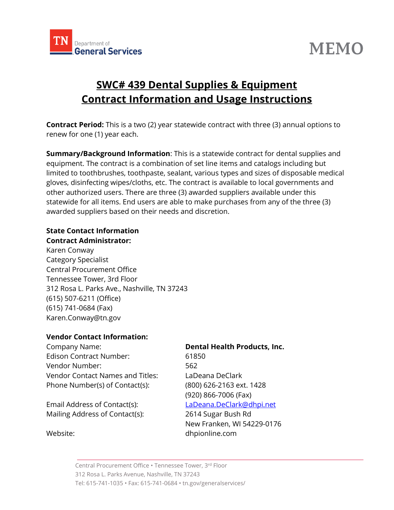

# **MEMO**

# **SWC# 439 Dental Supplies & Equipment Contract Information and Usage Instructions**

**Contract Period:** This is a two (2) year statewide contract with three (3) annual options to renew for one (1) year each.

**Summary/Background Information**: This is a statewide contract for dental supplies and equipment. The contract is a combination of set line items and catalogs including but limited to toothbrushes, toothpaste, sealant, various types and sizes of disposable medical gloves, disinfecting wipes/cloths, etc. The contract is available to local governments and other authorized users. There are three (3) awarded suppliers available under this statewide for all items. End users are able to make purchases from any of the three (3) awarded suppliers based on their needs and discretion.

## **State Contact Information**

**Contract Administrator:** Karen Conway Category Specialist Central Procurement Office Tennessee Tower, 3rd Floor 312 Rosa L. Parks Ave., Nashville, TN 37243 (615) 507-6211 (Office) (615) 741-0684 (Fax) Karen.Conway@tn.gov

#### **Vendor Contact Information:**

Company Name: **Dental Health Products, Inc.** Edison Contract Number: 61850 Vendor Number: 562 Vendor Contact Names and Titles: LaDeana DeClark Phone Number(s) of Contact(s): (800) 626-2163 ext. 1428

Email Address of Contact(s): [LaDeana.DeClark@dhpi.net](mailto:LaDeana.DeClark@dhpi.net) Mailing Address of Contact(s): 2614 Sugar Bush Rd

(920) 866-7006 (Fax)

New Franken, WI 54229-0176 Website: dhpionline.com

Central Procurement Office • Tennessee Tower, 3 rd Floor 312 Rosa L. Parks Avenue, Nashville, TN 37243 Tel: 615-741-1035 • Fax: 615-741-0684 • tn.gov/generalservices/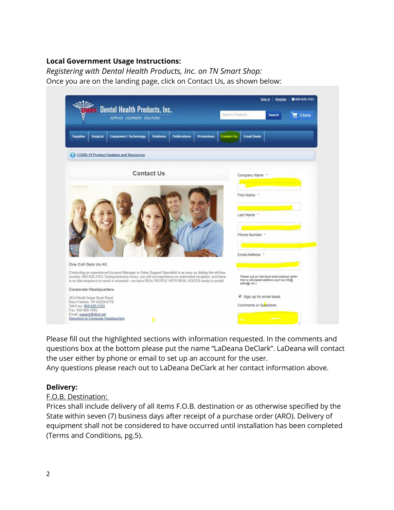### **Local Government Usage Instructions:**

*Registering with Dental Health Products, Inc. on TN Smart Shop:* Once you are on the landing page, click on Contact Us, as shown below:

| <b>Dental Health Products, Inc.</b><br>SUPPLIES, EQUIPMENT, SOLUTIONS.                                                                                                                                                                                                                                                  | ■ 800-626-2163<br>Sign In Register<br>Search Products.<br>0 ltems<br><b>Search</b>                          |  |
|-------------------------------------------------------------------------------------------------------------------------------------------------------------------------------------------------------------------------------------------------------------------------------------------------------------------------|-------------------------------------------------------------------------------------------------------------|--|
| <b>Equipment / Technology</b><br><b>Supplies</b><br><b>Surgical</b><br><b>Solutions</b><br><b>Publications</b><br><b>Promotions</b>                                                                                                                                                                                     | <b>Email Deals</b><br><b>Contact Us</b>                                                                     |  |
| <b>COVID-19 Product Updates and Resources</b>                                                                                                                                                                                                                                                                           |                                                                                                             |  |
| <b>Contact Us</b>                                                                                                                                                                                                                                                                                                       | Company Name                                                                                                |  |
|                                                                                                                                                                                                                                                                                                                         | First Name *                                                                                                |  |
|                                                                                                                                                                                                                                                                                                                         | Last Name *<br>Phone Number *                                                                               |  |
| One Call Gets Us All.                                                                                                                                                                                                                                                                                                   | Email Address *                                                                                             |  |
| Contacting an experienced Account Manager or Sales Support Specialist is as easy as dialing the toll-free<br>number, 800-626-2163. During business hours, you will not experience an automated reception, and there<br>is no dial sequence to reach a voicemail - we have REAL PEOPLE WITH REAL VOICES ready to assist! | Please use an individual email address rather<br>than a role-based address (such as info@.<br>sales@, etc.) |  |
| <b>Corporate Headquarters</b><br>2614 North Sugar Bush Road<br>New Franken, WI 54229-0176<br>Toll-Free: 800-626-2163                                                                                                                                                                                                    | Sign up for email deals<br>Comments or Questions                                                            |  |

Please fill out the highlighted sections with information requested. In the comments and questions box at the bottom please put the name "LaDeana DeClark". LaDeana will contact the user either by phone or email to set up an account for the user.

Any questions please reach out to LaDeana DeClark at her contact information above.

#### **Delivery:**

#### F.O.B. Destination:

Prices shall include delivery of all items F.O.B. destination or as otherwise specified by the State within seven (7) business days after receipt of a purchase order (ARO). Delivery of equipment shall not be considered to have occurred until installation has been completed (Terms and Conditions, pg.5).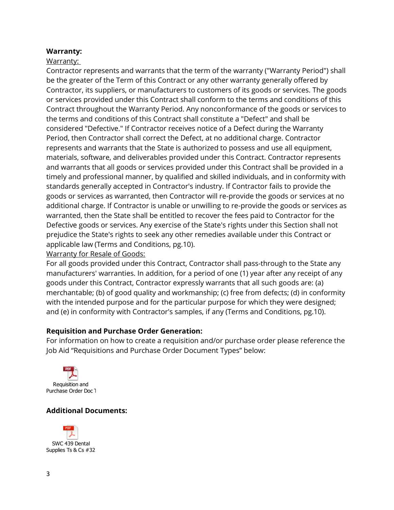#### **Warranty:**

#### Warranty:

Contractor represents and warrants that the term of the warranty ("Warranty Period") shall be the greater of the Term of this Contract or any other warranty generally offered by Contractor, its suppliers, or manufacturers to customers of its goods or services. The goods or services provided under this Contract shall conform to the terms and conditions of this Contract throughout the Warranty Period. Any nonconformance of the goods or services to the terms and conditions of this Contract shall constitute a "Defect" and shall be considered "Defective." If Contractor receives notice of a Defect during the Warranty Period, then Contractor shall correct the Defect, at no additional charge. Contractor represents and warrants that the State is authorized to possess and use all equipment, materials, software, and deliverables provided under this Contract. Contractor represents and warrants that all goods or services provided under this Contract shall be provided in a timely and professional manner, by qualified and skilled individuals, and in conformity with standards generally accepted in Contractor's industry. If Contractor fails to provide the goods or services as warranted, then Contractor will re-provide the goods or services at no additional charge. If Contractor is unable or unwilling to re-provide the goods or services as warranted, then the State shall be entitled to recover the fees paid to Contractor for the Defective goods or services. Any exercise of the State's rights under this Section shall not prejudice the State's rights to seek any other remedies available under this Contract or applicable law (Terms and Conditions, pg.10).

Warranty for Resale of Goods:

For all goods provided under this Contract, Contractor shall pass-through to the State any manufacturers' warranties. In addition, for a period of one (1) year after any receipt of any goods under this Contract, Contractor expressly warrants that all such goods are: (a) merchantable; (b) of good quality and workmanship; (c) free from defects; (d) in conformity with the intended purpose and for the particular purpose for which they were designed; and (e) in conformity with Contractor's samples, if any (Terms and Conditions, pg.10).

#### **Requisition and Purchase Order Generation:**

For information on how to create a requisition and/or purchase order please reference the Job Aid "Requisitions and Purchase Order Document Types" below:



### **Additional Documents:**